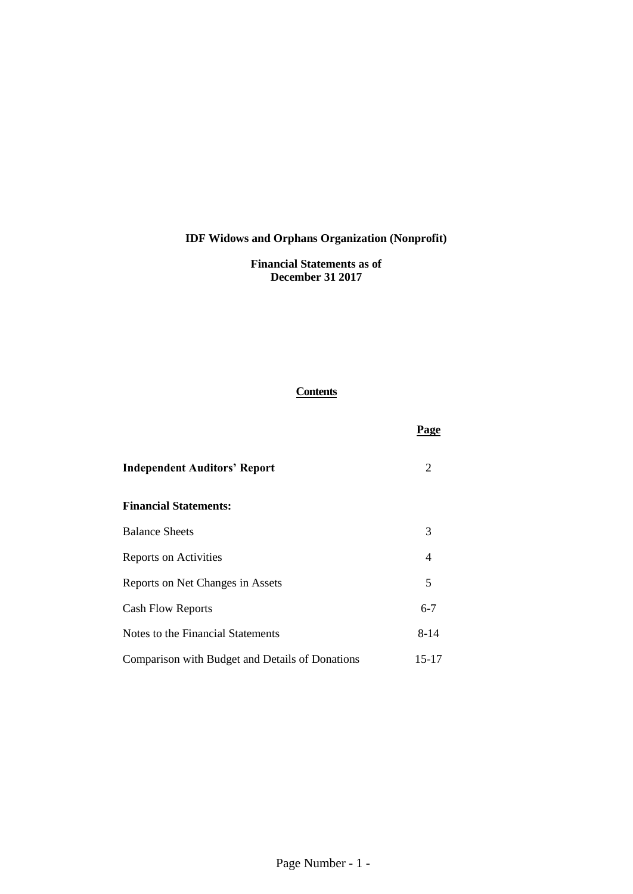**Financial Statements as of December 31 2017**

## **Contents**

**Page**

| <b>Independent Auditors' Report</b>             | 2       |
|-------------------------------------------------|---------|
| <b>Financial Statements:</b>                    |         |
| <b>Balance Sheets</b>                           | 3       |
| Reports on Activities                           | 4       |
| Reports on Net Changes in Assets                | 5       |
| <b>Cash Flow Reports</b>                        | $6 - 7$ |
| Notes to the Financial Statements               | 8-14    |
| Comparison with Budget and Details of Donations | 15-17   |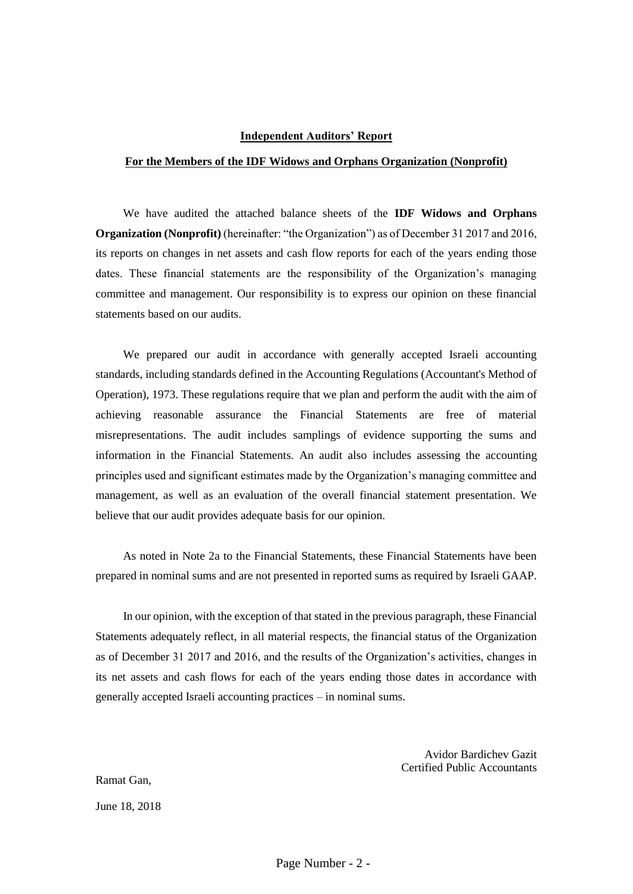#### **Independent Auditors' Report**

#### **For the Members of the IDF Widows and Orphans Organization (Nonprofit)**

We have audited the attached balance sheets of the **IDF Widows and Orphans Organization (Nonprofit)** (hereinafter: "the Organization") as of December 31 2017 and 2016, its reports on changes in net assets and cash flow reports for each of the years ending those dates. These financial statements are the responsibility of the Organization's managing committee and management. Our responsibility is to express our opinion on these financial statements based on our audits.

We prepared our audit in accordance with generally accepted Israeli accounting standards, including standards defined in the Accounting Regulations (Accountant's Method of Operation), 1973. These regulations require that we plan and perform the audit with the aim of achieving reasonable assurance the Financial Statements are free of material misrepresentations. The audit includes samplings of evidence supporting the sums and information in the Financial Statements. An audit also includes assessing the accounting principles used and significant estimates made by the Organization's managing committee and management, as well as an evaluation of the overall financial statement presentation. We believe that our audit provides adequate basis for our opinion.

As noted in Note 2a to the Financial Statements, these Financial Statements have been prepared in nominal sums and are not presented in reported sums as required by Israeli GAAP.

In our opinion, with the exception of that stated in the previous paragraph, these Financial Statements adequately reflect, in all material respects, the financial status of the Organization as of December 31 2017 and 2016, and the results of the Organization's activities, changes in its net assets and cash flows for each of the years ending those dates in accordance with generally accepted Israeli accounting practices – in nominal sums.

> Avidor Bardichev Gazit Certified Public Accountants

Ramat Gan,

June 18, 2018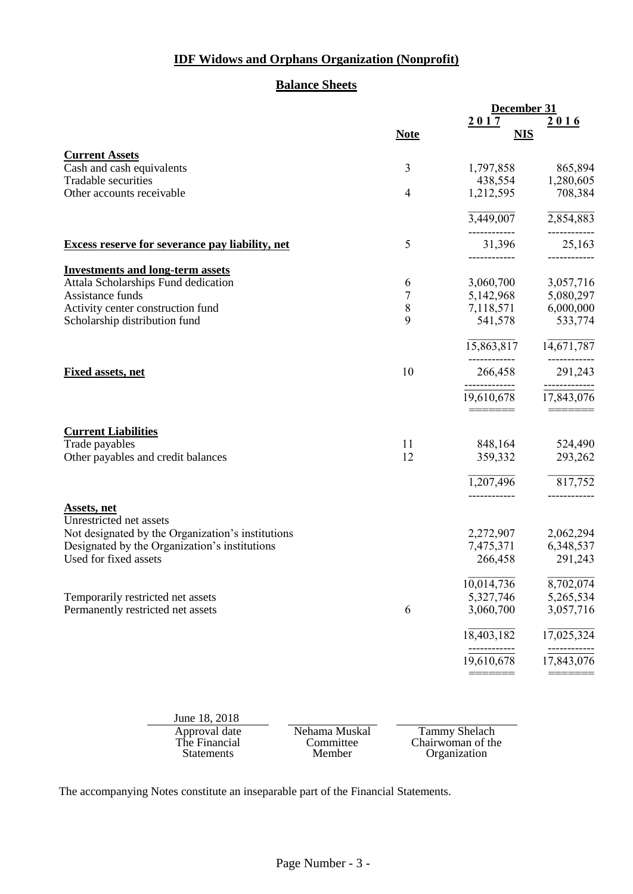## **Balance Sheets**

|                                                        |             | December 31                |              |
|--------------------------------------------------------|-------------|----------------------------|--------------|
|                                                        |             | 2017                       | 2016         |
|                                                        | <b>Note</b> | <b>NIS</b>                 |              |
| <b>Current Assets</b>                                  |             |                            |              |
| Cash and cash equivalents                              | 3           | 1,797,858                  | 865,894      |
| <b>Tradable securities</b>                             |             | 438,554                    | 1,280,605    |
| Other accounts receivable                              | 4           | 1,212,595                  | 708,384      |
|                                                        |             | $\overline{3,449,007}$     | 2,854,883    |
| <b>Excess reserve for severance pay liability, net</b> | 5           | 31,396                     | 25,163       |
| <b>Investments and long-term assets</b>                |             |                            |              |
| Attala Scholarships Fund dedication                    | 6           | 3,060,700                  | 3,057,716    |
| Assistance funds                                       | 7           | 5,142,968                  | 5,080,297    |
| Activity center construction fund                      | $\,8\,$     | 7,118,571                  | 6,000,000    |
| Scholarship distribution fund                          | 9           | 541,578                    | 533,774      |
|                                                        |             | 15,863,817                 | 14,671,787   |
| <b>Fixed assets, net</b>                               | 10          | 266,458                    | 291,243      |
|                                                        |             | 19,610,678                 | 17,843,076   |
|                                                        |             |                            |              |
| <b>Current Liabilities</b>                             |             |                            |              |
| Trade payables                                         | 11          | 848,164                    | 524,490      |
| Other payables and credit balances                     | 12          | 359,332                    | 293,262      |
|                                                        |             | 1,207,496                  | 817,752      |
| <b>Assets</b> , net                                    |             | ------------               | ------------ |
| Unrestricted net assets                                |             |                            |              |
| Not designated by the Organization's institutions      |             | 2,272,907                  | 2,062,294    |
| Designated by the Organization's institutions          |             | 7,475,371                  | 6,348,537    |
| Used for fixed assets                                  |             | 266,458                    | 291,243      |
|                                                        |             | 10,014,736                 | 8,702,074    |
| Temporarily restricted net assets                      |             | 5,327,746                  | 5,265,534    |
| Permanently restricted net assets                      | 6           | 3,060,700                  | 3,057,716    |
|                                                        |             | 18,403,182                 | 17,025,324   |
|                                                        |             | ------------<br>19,610,678 | 17,843,076   |
|                                                        |             |                            |              |
|                                                        |             |                            |              |

June 18, 2018 Approval date<br>The Financial Statements

Committee Member

Nehama Muskal Tammy Shelach Chairwoman of the Organization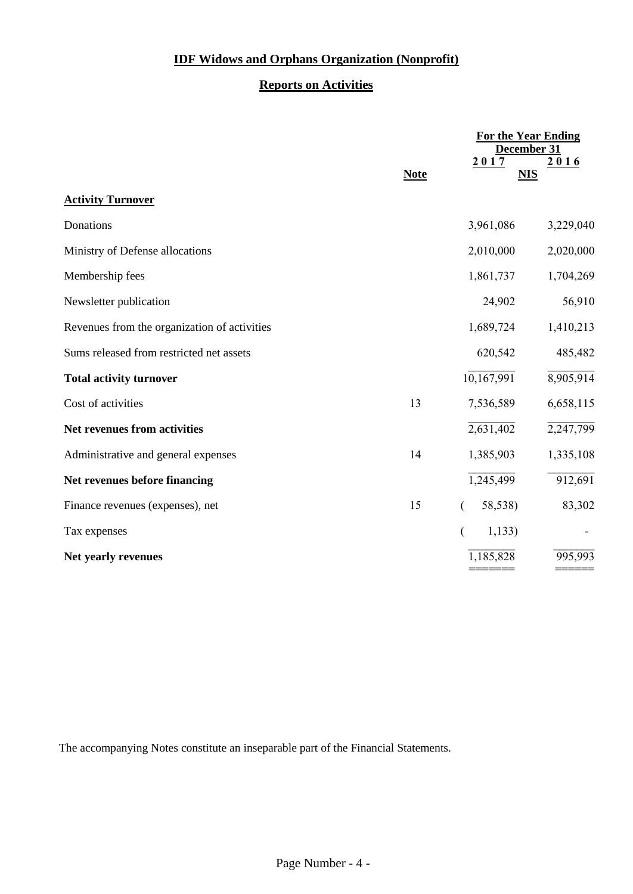## **Reports on Activities**

|                                              |             |            | <b>For the Year Ending</b><br>December 31 |
|----------------------------------------------|-------------|------------|-------------------------------------------|
|                                              | <b>Note</b> | 2017       | 2016<br><b>NIS</b>                        |
| <b>Activity Turnover</b>                     |             |            |                                           |
| Donations                                    |             | 3,961,086  | 3,229,040                                 |
| Ministry of Defense allocations              |             | 2,010,000  | 2,020,000                                 |
| Membership fees                              |             | 1,861,737  | 1,704,269                                 |
| Newsletter publication                       |             | 24,902     | 56,910                                    |
| Revenues from the organization of activities |             | 1,689,724  | 1,410,213                                 |
| Sums released from restricted net assets     |             | 620,542    | 485,482                                   |
| <b>Total activity turnover</b>               |             | 10,167,991 | 8,905,914                                 |
| Cost of activities                           | 13          | 7,536,589  | 6,658,115                                 |
| Net revenues from activities                 |             | 2,631,402  | 2,247,799                                 |
| Administrative and general expenses          | 14          | 1,385,903  | 1,335,108                                 |
| Net revenues before financing                |             | 1,245,499  | 912,691                                   |
| Finance revenues (expenses), net             | 15          | 58,538)    | 83,302                                    |
| Tax expenses                                 |             | 1,133)     |                                           |
| Net yearly revenues                          |             | 1,185,828  | 995,993                                   |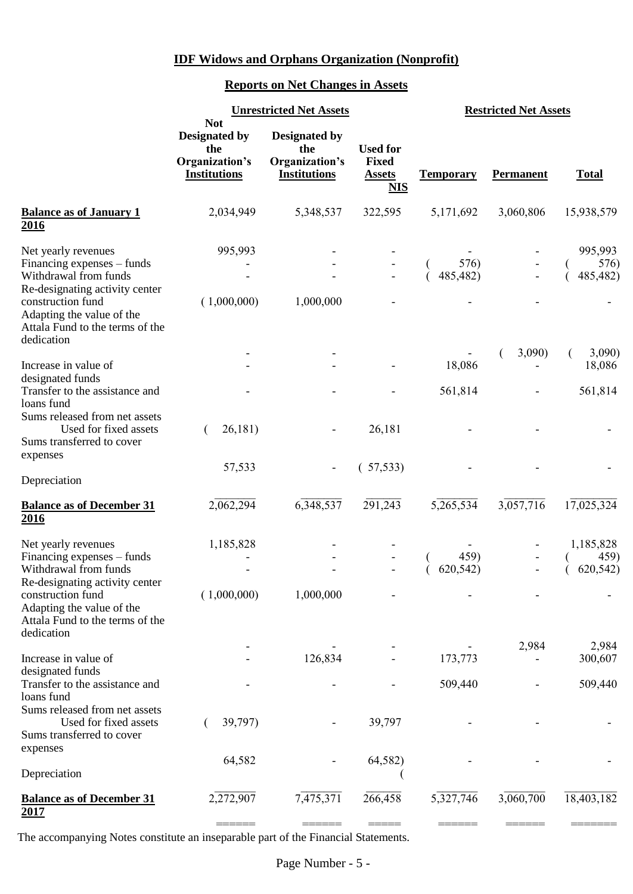## **Reports on Net Changes in Assets**

|                                                                                                                                                                | <b>Not</b>                                                           | <b>Unrestricted Net Assets</b>                                       |                                                                | <b>Restricted Net Assets</b> |                  |                              |
|----------------------------------------------------------------------------------------------------------------------------------------------------------------|----------------------------------------------------------------------|----------------------------------------------------------------------|----------------------------------------------------------------|------------------------------|------------------|------------------------------|
|                                                                                                                                                                | <b>Designated by</b><br>the<br>Organization's<br><b>Institutions</b> | <b>Designated by</b><br>the<br>Organization's<br><b>Institutions</b> | <b>Used for</b><br><b>Fixed</b><br><b>Assets</b><br><u>NIS</u> | <b>Temporary</b>             | <b>Permanent</b> | <b>Total</b>                 |
| <b>Balance as of January 1</b><br>2016                                                                                                                         | 2,034,949                                                            | 5,348,537                                                            | 322,595                                                        | 5,171,692                    | 3,060,806        | 15,938,579                   |
| Net yearly revenues<br>Financing expenses – funds<br>Withdrawal from funds<br>Re-designating activity center<br>construction fund<br>Adapting the value of the | 995,993<br>(1,000,000)                                               | 1,000,000                                                            |                                                                | $576$<br>485,482)            |                  | 995,993<br>576)<br>485,482)  |
| Attala Fund to the terms of the<br>dedication                                                                                                                  |                                                                      |                                                                      |                                                                |                              | 3,090)           | 3,090                        |
| Increase in value of<br>designated funds<br>Transfer to the assistance and<br>loans fund                                                                       |                                                                      |                                                                      |                                                                | 18,086<br>561,814            |                  | 18,086<br>561,814            |
| Sums released from net assets<br>Used for fixed assets<br>Sums transferred to cover<br>expenses                                                                | 26,181)                                                              |                                                                      | 26,181                                                         |                              |                  |                              |
| Depreciation                                                                                                                                                   | 57,533                                                               |                                                                      | (57,533)                                                       |                              |                  |                              |
| <b>Balance as of December 31</b><br>2016                                                                                                                       | 2,062,294                                                            | 6,348,537                                                            | 291,243                                                        | 5,265,534                    | 3,057,716        | 17,025,324                   |
| Net yearly revenues<br>Financing expenses – funds<br>Withdrawal from funds<br>Re-designating activity center                                                   | 1,185,828                                                            |                                                                      |                                                                | 459)<br>620,542)             |                  | 1,185,828<br>459)<br>620,542 |
| construction fund<br>Adapting the value of the<br>Attala Fund to the terms of the<br>dedication                                                                | (1,000,000)                                                          | 1,000,000                                                            |                                                                |                              |                  |                              |
| Increase in value of                                                                                                                                           |                                                                      | 126,834                                                              |                                                                | 173,773                      | 2,984            | 2,984<br>300,607             |
| designated funds<br>Transfer to the assistance and<br>loans fund<br>Sums released from net assets                                                              |                                                                      |                                                                      |                                                                | 509,440                      |                  | 509,440                      |
| Used for fixed assets<br>Sums transferred to cover<br>expenses                                                                                                 | 39,797)                                                              |                                                                      | 39,797                                                         |                              |                  |                              |
| Depreciation                                                                                                                                                   | 64,582                                                               |                                                                      | 64,582)                                                        |                              |                  |                              |
| <b>Balance as of December 31</b><br>2017                                                                                                                       | 2,272,907                                                            | 7,475,371                                                            | 266,458                                                        | 5,327,746                    | 3,060,700        | 18,403,182                   |
|                                                                                                                                                                |                                                                      |                                                                      |                                                                |                              |                  |                              |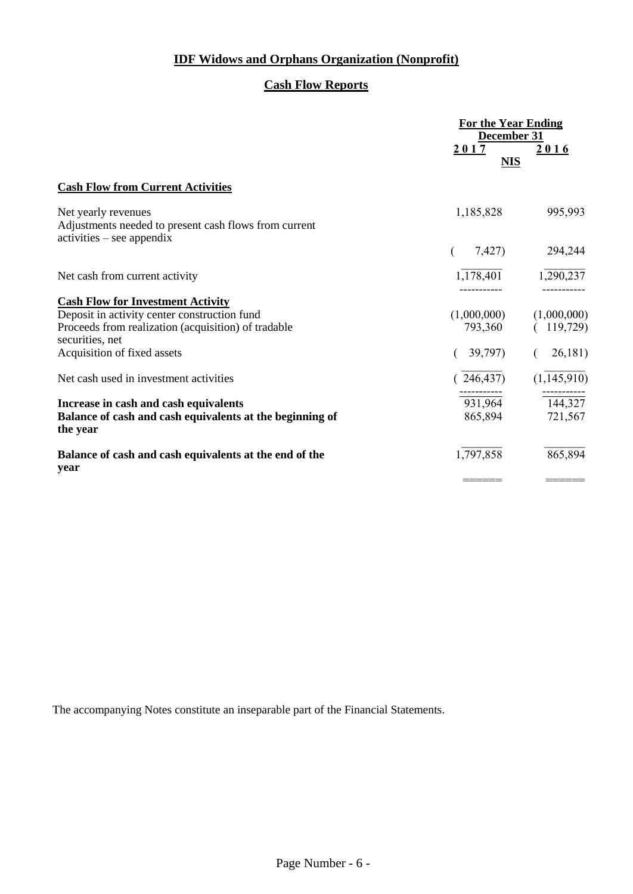## **Cash Flow Reports**

|                                                                                             | <b>For the Year Ending</b><br>December 31 |                     |
|---------------------------------------------------------------------------------------------|-------------------------------------------|---------------------|
|                                                                                             | <u>2017</u>                               | 2016                |
|                                                                                             | <b>NIS</b>                                |                     |
| <b>Cash Flow from Current Activities</b>                                                    |                                           |                     |
| Net yearly revenues                                                                         | 1,185,828                                 | 995,993             |
| Adjustments needed to present cash flows from current<br>$\text{activities}$ – see appendix |                                           |                     |
|                                                                                             | 7,427)                                    | 294,244             |
| Net cash from current activity                                                              | 1,178,401                                 | 1,290,237           |
| <b>Cash Flow for Investment Activity</b>                                                    |                                           |                     |
| Deposit in activity center construction fund                                                | (1,000,000)                               | (1,000,000)         |
| Proceeds from realization (acquisition) of tradable<br>securities, net                      | 793,360                                   | 119,729)            |
| Acquisition of fixed assets                                                                 | 39,797)                                   | 26,181)             |
| Net cash used in investment activities                                                      | 246,437)                                  | (1,145,910)         |
| Increase in cash and cash equivalents                                                       | $\frac{1}{931,964}$                       | $\frac{1}{144,327}$ |
| Balance of cash and cash equivalents at the beginning of<br>the year                        | 865,894                                   | 721,567             |
| Balance of cash and cash equivalents at the end of the<br>year                              | 1,797,858                                 | 865,894             |
|                                                                                             |                                           |                     |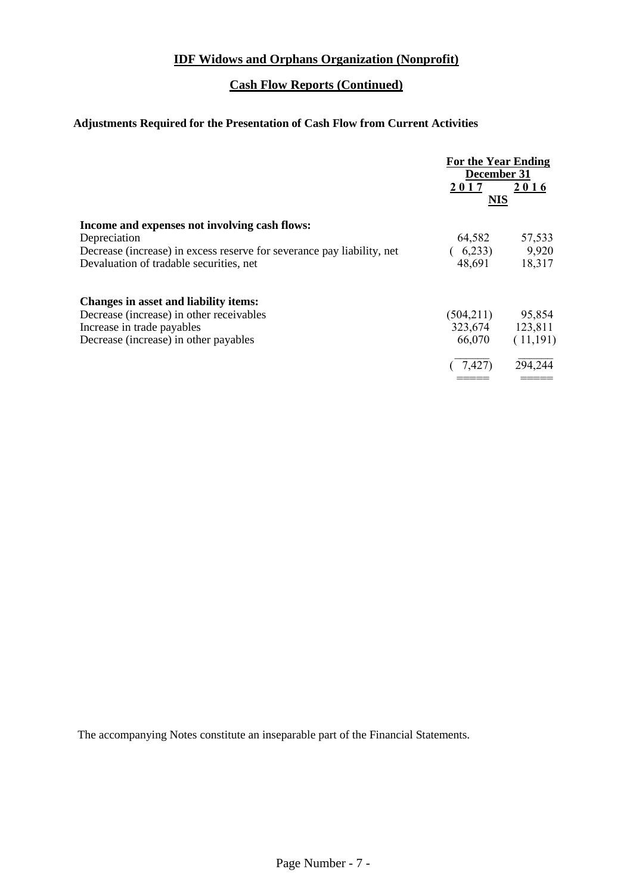## **Cash Flow Reports (Continued)**

## **Adjustments Required for the Presentation of Cash Flow from Current Activities**

|                                                                        | <b>For the Year Ending</b><br>December 31 |          |
|------------------------------------------------------------------------|-------------------------------------------|----------|
|                                                                        | 2017<br><b>NIS</b>                        | 2016     |
| Income and expenses not involving cash flows:                          |                                           |          |
| Depreciation                                                           | 64,582                                    | 57,533   |
| Decrease (increase) in excess reserve for severance pay liability, net | 6,233)                                    | 9,920    |
| Devaluation of tradable securities, net                                | 48,691                                    | 18,317   |
| <b>Changes in asset and liability items:</b>                           |                                           |          |
| Decrease (increase) in other receivables                               | (504, 211)                                | 95,854   |
| Increase in trade payables                                             | 323,674                                   | 123,811  |
| Decrease (increase) in other payables                                  | 66,070                                    | (11,191) |
|                                                                        | 7.427                                     | 294,244  |
|                                                                        |                                           |          |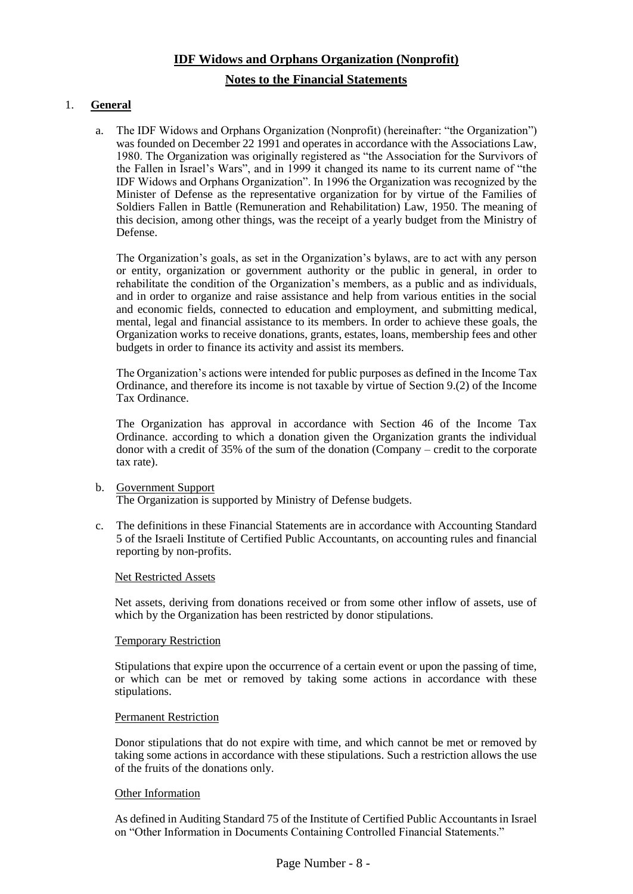#### **Notes to the Financial Statements**

#### 1. **General**

a. The IDF Widows and Orphans Organization (Nonprofit) (hereinafter: "the Organization") was founded on December 22 1991 and operates in accordance with the Associations Law, 1980. The Organization was originally registered as "the Association for the Survivors of the Fallen in Israel's Wars", and in 1999 it changed its name to its current name of "the IDF Widows and Orphans Organization". In 1996 the Organization was recognized by the Minister of Defense as the representative organization for by virtue of the Families of Soldiers Fallen in Battle (Remuneration and Rehabilitation) Law, 1950. The meaning of this decision, among other things, was the receipt of a yearly budget from the Ministry of Defense.

The Organization's goals, as set in the Organization's bylaws, are to act with any person or entity, organization or government authority or the public in general, in order to rehabilitate the condition of the Organization's members, as a public and as individuals, and in order to organize and raise assistance and help from various entities in the social and economic fields, connected to education and employment, and submitting medical, mental, legal and financial assistance to its members. In order to achieve these goals, the Organization works to receive donations, grants, estates, loans, membership fees and other budgets in order to finance its activity and assist its members.

The Organization's actions were intended for public purposes as defined in the Income Tax Ordinance, and therefore its income is not taxable by virtue of Section 9.(2) of the Income Tax Ordinance.

The Organization has approval in accordance with Section 46 of the Income Tax Ordinance. according to which a donation given the Organization grants the individual donor with a credit of 35% of the sum of the donation (Company – credit to the corporate tax rate).

#### b. Government Support The Organization is supported by Ministry of Defense budgets.

c. The definitions in these Financial Statements are in accordance with Accounting Standard 5 of the Israeli Institute of Certified Public Accountants, on accounting rules and financial reporting by non-profits.

#### Net Restricted Assets

Net assets, deriving from donations received or from some other inflow of assets, use of which by the Organization has been restricted by donor stipulations.

#### Temporary Restriction

Stipulations that expire upon the occurrence of a certain event or upon the passing of time, or which can be met or removed by taking some actions in accordance with these stipulations.

#### Permanent Restriction

Donor stipulations that do not expire with time, and which cannot be met or removed by taking some actions in accordance with these stipulations. Such a restriction allows the use of the fruits of the donations only.

#### **Other Information**

As defined in Auditing Standard 75 of the Institute of Certified Public Accountants in Israel on "Other Information in Documents Containing Controlled Financial Statements."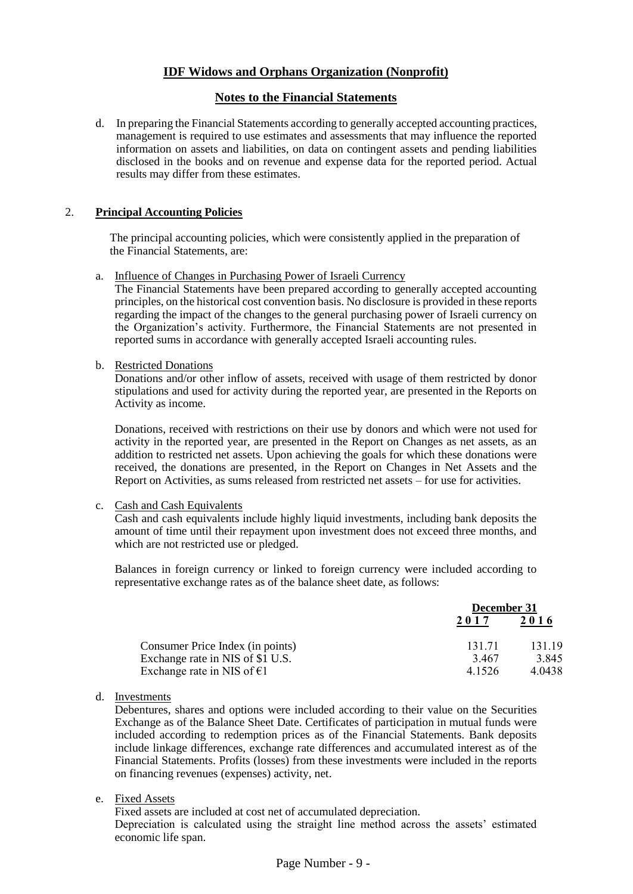#### **Notes to the Financial Statements**

d. In preparing the Financial Statements according to generally accepted accounting practices, management is required to use estimates and assessments that may influence the reported information on assets and liabilities, on data on contingent assets and pending liabilities disclosed in the books and on revenue and expense data for the reported period. Actual results may differ from these estimates.

#### 2. **Principal Accounting Policies**

The principal accounting policies, which were consistently applied in the preparation of the Financial Statements, are:

a. Influence of Changes in Purchasing Power of Israeli Currency

The Financial Statements have been prepared according to generally accepted accounting principles, on the historical cost convention basis. No disclosure is provided in these reports regarding the impact of the changes to the general purchasing power of Israeli currency on the Organization's activity. Furthermore, the Financial Statements are not presented in reported sums in accordance with generally accepted Israeli accounting rules.

b. Restricted Donations

Donations and/or other inflow of assets, received with usage of them restricted by donor stipulations and used for activity during the reported year, are presented in the Reports on Activity as income.

Donations, received with restrictions on their use by donors and which were not used for activity in the reported year, are presented in the Report on Changes as net assets, as an addition to restricted net assets. Upon achieving the goals for which these donations were received, the donations are presented, in the Report on Changes in Net Assets and the Report on Activities, as sums released from restricted net assets – for use for activities.

#### c. Cash and Cash Equivalents

Cash and cash equivalents include highly liquid investments, including bank deposits the amount of time until their repayment upon investment does not exceed three months, and which are not restricted use or pledged.

Balances in foreign currency or linked to foreign currency were included according to representative exchange rates as of the balance sheet date, as follows:

|                                  | December 31 |        |
|----------------------------------|-------------|--------|
|                                  | 2017        | 2016   |
| Consumer Price Index (in points) | 131.71      | 131.19 |
| Exchange rate in NIS of \$1 U.S. | 3.467       | 3.845  |
| Exchange rate in NIS of $E1$     | 4.1526      | 4.0438 |

d. Investments

Debentures, shares and options were included according to their value on the Securities Exchange as of the Balance Sheet Date. Certificates of participation in mutual funds were included according to redemption prices as of the Financial Statements. Bank deposits include linkage differences, exchange rate differences and accumulated interest as of the Financial Statements. Profits (losses) from these investments were included in the reports on financing revenues (expenses) activity, net.

e. Fixed Assets

Fixed assets are included at cost net of accumulated depreciation. Depreciation is calculated using the straight line method across the assets' estimated economic life span.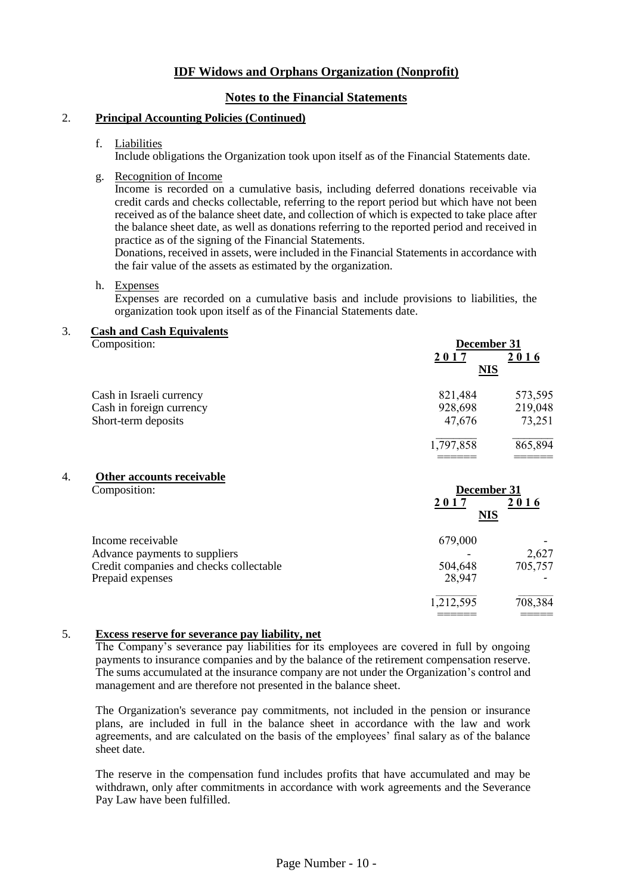## **Notes to the Financial Statements**

#### 2. **Principal Accounting Policies (Continued)**

#### f. Liabilities

Include obligations the Organization took upon itself as of the Financial Statements date.

g. Recognition of Income

Income is recorded on a cumulative basis, including deferred donations receivable via credit cards and checks collectable, referring to the report period but which have not been received as of the balance sheet date, and collection of which is expected to take place after the balance sheet date, as well as donations referring to the reported period and received in practice as of the signing of the Financial Statements.

Donations, received in assets, were included in the Financial Statements in accordance with the fair value of the assets as estimated by the organization.

#### h. Expenses

Expenses are recorded on a cumulative basis and include provisions to liabilities, the organization took upon itself as of the Financial Statements date.

# 3. **Cash and Cash Equivalents**

| Composition:             | December 31 |         |
|--------------------------|-------------|---------|
|                          | 2017        | 2016    |
|                          | <u>NIS</u>  |         |
| Cash in Israeli currency | 821,484     | 573,595 |
| Cash in foreign currency | 928,698     | 219,048 |
| Short-term deposits      | 47,676      | 73,251  |
|                          | 1,797,858   | 865,894 |
|                          |             |         |

4. **Other accounts receivable**

| Composition:                                                                                                      | December 31<br>2017<br><b>NIS</b> | 2016             |
|-------------------------------------------------------------------------------------------------------------------|-----------------------------------|------------------|
| Income receivable<br>Advance payments to suppliers<br>Credit companies and checks collectable<br>Prepaid expenses | 679,000<br>504,648<br>28,947      | 2,627<br>705,757 |
|                                                                                                                   | 1,212,595                         | 708,384          |

#### 5. **Excess reserve for severance pay liability, net**

The Company's severance pay liabilities for its employees are covered in full by ongoing payments to insurance companies and by the balance of the retirement compensation reserve. The sums accumulated at the insurance company are not under the Organization's control and management and are therefore not presented in the balance sheet.

The Organization's severance pay commitments, not included in the pension or insurance plans, are included in full in the balance sheet in accordance with the law and work agreements, and are calculated on the basis of the employees' final salary as of the balance sheet date.

The reserve in the compensation fund includes profits that have accumulated and may be withdrawn, only after commitments in accordance with work agreements and the Severance Pay Law have been fulfilled.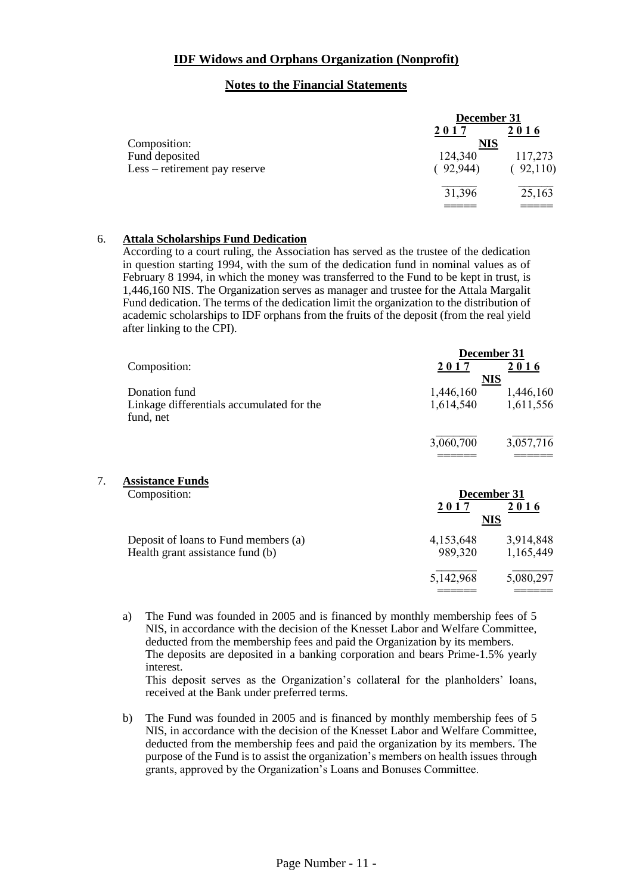#### **Notes to the Financial Statements**

|                                                 | December 31         |                    |
|-------------------------------------------------|---------------------|--------------------|
| Composition:                                    | 2017<br><b>NIS</b>  | 2016               |
| Fund deposited<br>Less – retirement pay reserve | 124,340<br>(92,944) | 117,273<br>92,110) |
|                                                 | 31,396              | 25,163             |

#### 6. **Attala Scholarships Fund Dedication**

According to a court ruling, the Association has served as the trustee of the dedication in question starting 1994, with the sum of the dedication fund in nominal values as of February 8 1994, in which the money was transferred to the Fund to be kept in trust, is 1,446,160 NIS. The Organization serves as manager and trustee for the Attala Margalit Fund dedication. The terms of the dedication limit the organization to the distribution of academic scholarships to IDF orphans from the fruits of the deposit (from the real yield after linking to the CPI).

|    |                                                        |           | December 31 |
|----|--------------------------------------------------------|-----------|-------------|
|    | Composition:                                           | 2017      | 2016        |
|    |                                                        |           | <b>NIS</b>  |
|    | Donation fund                                          | 1,446,160 | 1,446,160   |
|    | Linkage differentials accumulated for the<br>fund, net | 1,614,540 | 1,611,556   |
|    |                                                        | 3,060,700 | 3,057,716   |
| 7. | <b>Assistance Funds</b><br>Composition:                |           | December 31 |
|    |                                                        | 2017      | 2016        |

|                                                                          | 2011<br>NIS          | 4 V 1 V                |
|--------------------------------------------------------------------------|----------------------|------------------------|
| Deposit of loans to Fund members (a)<br>Health grant assistance fund (b) | 4,153,648<br>989.320 | 3,914,848<br>1,165,449 |
|                                                                          | 5,142,968            | 5,080,297              |

a) The Fund was founded in 2005 and is financed by monthly membership fees of 5 NIS, in accordance with the decision of the Knesset Labor and Welfare Committee, deducted from the membership fees and paid the Organization by its members. The deposits are deposited in a banking corporation and bears Prime-1.5% yearly interest.

This deposit serves as the Organization's collateral for the planholders' loans, received at the Bank under preferred terms.

b) The Fund was founded in 2005 and is financed by monthly membership fees of 5 NIS, in accordance with the decision of the Knesset Labor and Welfare Committee, deducted from the membership fees and paid the organization by its members. The purpose of the Fund is to assist the organization's members on health issues through grants, approved by the Organization's Loans and Bonuses Committee.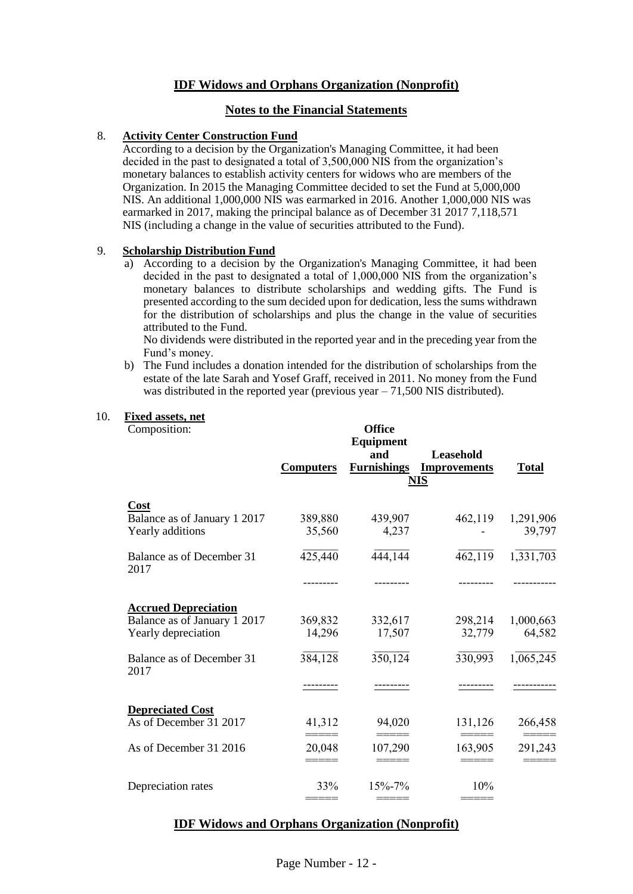#### **Notes to the Financial Statements**

#### 8. **Activity Center Construction Fund**

According to a decision by the Organization's Managing Committee, it had been decided in the past to designated a total of 3,500,000 NIS from the organization's monetary balances to establish activity centers for widows who are members of the Organization. In 2015 the Managing Committee decided to set the Fund at 5,000,000 NIS. An additional 1,000,000 NIS was earmarked in 2016. Another 1,000,000 NIS was earmarked in 2017, making the principal balance as of December 31 2017 7,118,571 NIS (including a change in the value of securities attributed to the Fund).

#### 9. **Scholarship Distribution Fund**

a) According to a decision by the Organization's Managing Committee, it had been decided in the past to designated a total of 1,000,000 NIS from the organization's monetary balances to distribute scholarships and wedding gifts. The Fund is presented according to the sum decided upon for dedication, less the sums withdrawn for the distribution of scholarships and plus the change in the value of securities attributed to the Fund.

No dividends were distributed in the reported year and in the preceding year from the Fund's money.

b) The Fund includes a donation intended for the distribution of scholarships from the estate of the late Sarah and Yosef Graff, received in 2011. No money from the Fund was distributed in the reported year (previous year  $-71,500$  NIS distributed).

#### 10. **Fixed assets, net**

Composition:

| Composition:                                                                       |                   | <b>Office</b><br><b>Equipment</b><br>and | Leasehold                         |                     |
|------------------------------------------------------------------------------------|-------------------|------------------------------------------|-----------------------------------|---------------------|
|                                                                                    | <b>Computers</b>  | <b>Furnishings</b>                       | <b>Improvements</b><br><u>NIS</u> | <b>Total</b>        |
| Cost<br>Balance as of January 1 2017<br>Yearly additions                           | 389,880<br>35,560 | 439,907<br>4,237                         | 462,119                           | 1,291,906<br>39,797 |
| Balance as of December 31<br>2017                                                  | 425,440           | 444,144                                  | 462,119                           | 1,331,703           |
|                                                                                    |                   |                                          |                                   |                     |
| <b>Accrued Depreciation</b><br>Balance as of January 1 2017<br>Yearly depreciation | 369,832<br>14,296 | 332,617<br>17,507                        | 298,214<br>32,779                 | 1,000,663<br>64,582 |
| Balance as of December 31<br>2017                                                  | 384,128           | 350,124                                  | 330,993                           | 1,065,245           |
|                                                                                    |                   |                                          |                                   |                     |
| <b>Depreciated Cost</b>                                                            |                   |                                          |                                   |                     |
| As of December 31 2017                                                             | 41,312            | 94,020                                   | 131,126                           | 266,458             |
| As of December 31 2016                                                             | 20,048            | 107,290                                  | 163,905                           | 291,243             |
| Depreciation rates                                                                 | 33%               | 15%-7%                                   | 10%                               |                     |
|                                                                                    | =====             | =====                                    |                                   |                     |

#### **IDF Widows and Orphans Organization (Nonprofit)**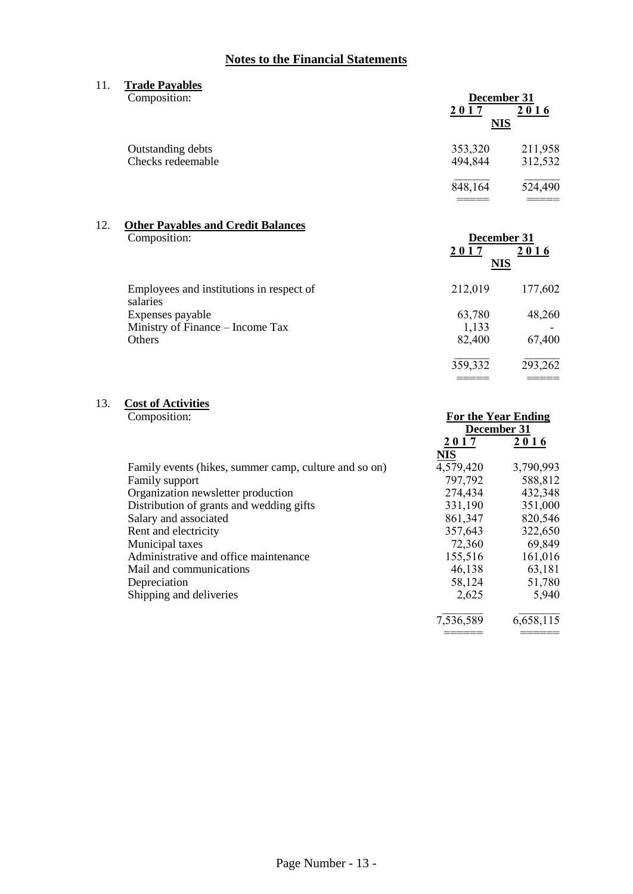## **Notes to the Financial Statements**

11. **Trade Payables** Composition: **December 31**  $2017$   $2016$ **NIS** Outstanding debts 353,320 211,958 Checks redeemable 494,844 312,532  $\_$   $\_$ 848,164 524,490 ===== =====

#### 12. **Other Payables and Credit Balances** Composition: **December 31**

|                                                      | NIS     |         |
|------------------------------------------------------|---------|---------|
| Employees and institutions in respect of<br>salaries | 212,019 | 177,602 |
| Expenses payable                                     | 63,780  | 48,260  |
| Ministry of Finance – Income Tax                     | 1,133   |         |
| Others                                               | 82,400  | 67,400  |
|                                                      | 359,332 | 293,262 |

**2 0 1 7 2 0 1 6**

===== =====

**For the Year Ending** 

# 13. **Cost of Activities**

|                                                       | December 31 |           |
|-------------------------------------------------------|-------------|-----------|
|                                                       | 2017        | 2016      |
|                                                       | <b>NIS</b>  |           |
| Family events (hikes, summer camp, culture and so on) | 4,579,420   | 3,790,993 |
| Family support                                        | 797,792     | 588,812   |
| Organization newsletter production                    | 274,434     | 432,348   |
| Distribution of grants and wedding gifts              | 331,190     | 351,000   |
| Salary and associated                                 | 861,347     | 820,546   |
| Rent and electricity                                  | 357,643     | 322,650   |
| Municipal taxes                                       | 72,360      | 69,849    |
| Administrative and office maintenance                 | 155,516     | 161,016   |
| Mail and communications                               | 46,138      | 63,181    |
| Depreciation                                          | 58,124      | 51,780    |
| Shipping and deliveries                               | 2,625       | 5,940     |
|                                                       | 7,536,589   | 6,658,115 |
|                                                       |             |           |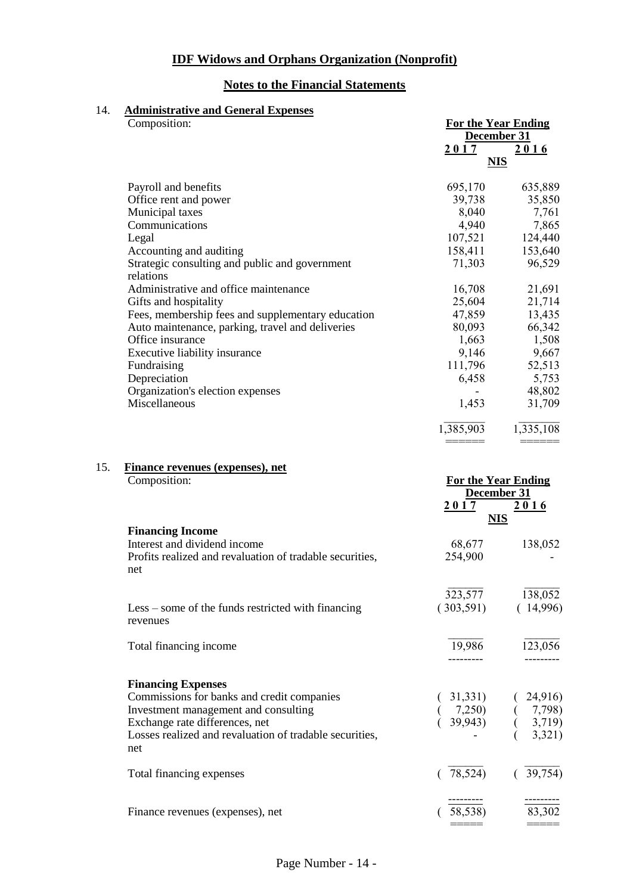## **Notes to the Financial Statements**

## 14. **Administrative and General Expenses**

|     | Composition:                                             | <b>For the Year Ending</b><br>December 31 |                                                                                   |
|-----|----------------------------------------------------------|-------------------------------------------|-----------------------------------------------------------------------------------|
|     |                                                          | 2017<br><b>NIS</b>                        | 2016                                                                              |
|     | Payroll and benefits                                     | 695,170                                   | 635,889                                                                           |
|     | Office rent and power                                    | 39,738                                    | 35,850                                                                            |
|     | Municipal taxes                                          | 8,040                                     | 7,761                                                                             |
|     | Communications                                           | 4,940                                     | 7,865                                                                             |
|     | Legal                                                    | 107,521                                   | 124,440                                                                           |
|     | Accounting and auditing                                  | 158,411                                   | 153,640                                                                           |
|     | Strategic consulting and public and government           | 71,303                                    | 96,529                                                                            |
|     | relations                                                |                                           |                                                                                   |
|     | Administrative and office maintenance                    | 16,708                                    | 21,691                                                                            |
|     | Gifts and hospitality                                    | 25,604                                    | 21,714                                                                            |
|     | Fees, membership fees and supplementary education        | 47,859                                    | 13,435                                                                            |
|     | Auto maintenance, parking, travel and deliveries         | 80,093                                    | 66,342                                                                            |
|     | Office insurance                                         | 1,663                                     | 1,508                                                                             |
|     | Executive liability insurance                            | 9,146                                     | 9,667                                                                             |
|     | Fundraising                                              | 111,796                                   | 52,513                                                                            |
|     | Depreciation                                             | 6,458                                     | 5,753                                                                             |
|     | Organization's election expenses                         |                                           | 48,802                                                                            |
|     | Miscellaneous                                            | 1,453                                     | 31,709                                                                            |
|     |                                                          | 1,385,903                                 | 1,335,108                                                                         |
| 15. | <b>Finance revenues (expenses), net</b><br>Composition:  | <b>For the Year Ending</b><br>December 31 |                                                                                   |
|     |                                                          | 2017<br><b>NIS</b>                        | <u>2016</u>                                                                       |
|     | <b>Financing Income</b>                                  |                                           |                                                                                   |
|     | Interest and dividend income                             | 68,677                                    | 138,052                                                                           |
|     | Profits realized and revaluation of tradable securities, | 254,900                                   |                                                                                   |
|     | net                                                      |                                           |                                                                                   |
|     |                                                          |                                           | 323,577 138,052                                                                   |
|     | $Less - some of the funds restricted with financing$     | (303,591)                                 | (14,996)                                                                          |
|     | revenues                                                 |                                           |                                                                                   |
|     | Total financing income                                   | 19,986                                    | 123,056                                                                           |
|     |                                                          |                                           |                                                                                   |
|     | <b>Financing Expenses</b>                                |                                           |                                                                                   |
|     | Commissions for banks and credit companies               |                                           |                                                                                   |
|     | Investment management and consulting                     |                                           |                                                                                   |
|     | Exchange rate differences, net                           |                                           | $(31,331)$ $(24,315)$<br>$(7,250)$ $(7,798)$<br>$(39,943)$ $(3,719)$<br>$(3,321)$ |
|     | Losses realized and revaluation of tradable securities,  |                                           |                                                                                   |
|     | net                                                      |                                           |                                                                                   |
|     | Total financing expenses                                 | (78,524)                                  | (39,754)                                                                          |
|     |                                                          |                                           |                                                                                   |
|     |                                                          |                                           |                                                                                   |
|     | Finance revenues (expenses), net                         | 58,538)                                   | 83,302                                                                            |

===== =====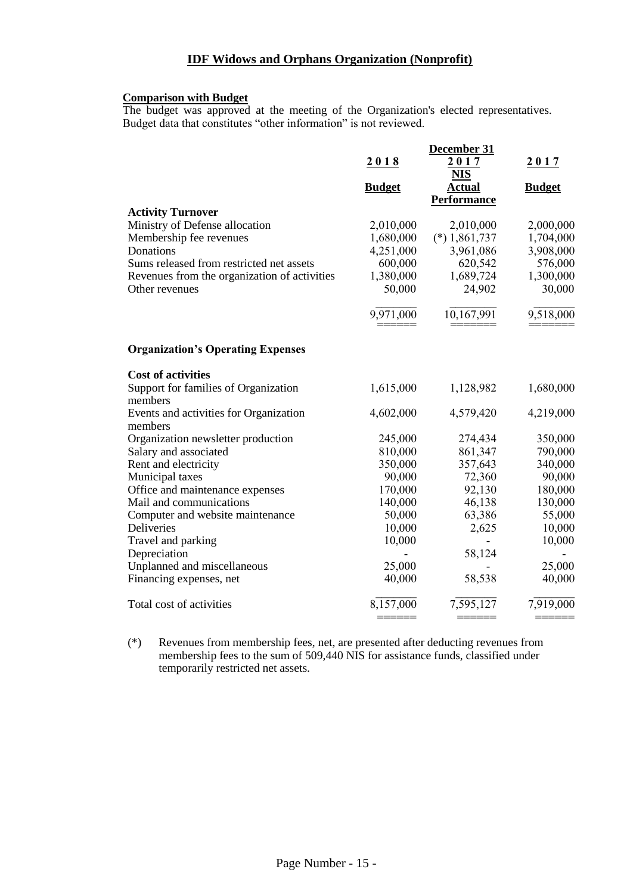#### **Comparison with Budget**

The budget was approved at the meeting of the Organization's elected representatives. Budget data that constitutes "other information" is not reviewed.

|                                              | December 31              |                    |                          |
|----------------------------------------------|--------------------------|--------------------|--------------------------|
|                                              | 2018                     | 2017               | 2017                     |
|                                              |                          | <b>NIS</b>         |                          |
|                                              | <b>Budget</b>            | <b>Actual</b>      | <b>Budget</b>            |
|                                              |                          | <b>Performance</b> |                          |
| <b>Activity Turnover</b>                     |                          |                    |                          |
| Ministry of Defense allocation               | 2,010,000                | 2,010,000          | 2,000,000                |
| Membership fee revenues                      | 1,680,000                | $(*) 1,861,737$    | 1,704,000                |
| Donations                                    | 4,251,000                | 3,961,086          | 3,908,000                |
| Sums released from restricted net assets     | 600,000                  | 620,542            | 576,000                  |
| Revenues from the organization of activities | 1,380,000                | 1,689,724          | 1,300,000                |
| Other revenues                               | 50,000                   | 24,902             | 30,000                   |
|                                              | 9,971,000                | 10,167,991         | 9,518,000                |
|                                              |                          |                    |                          |
| <b>Organization's Operating Expenses</b>     |                          |                    |                          |
| <b>Cost of activities</b>                    |                          |                    |                          |
| Support for families of Organization         | 1,615,000                | 1,128,982          | 1,680,000                |
| members                                      |                          |                    |                          |
| Events and activities for Organization       | 4,602,000                | 4,579,420          | 4,219,000                |
| members                                      |                          |                    |                          |
| Organization newsletter production           | 245,000                  | 274,434            | 350,000                  |
| Salary and associated                        | 810,000                  | 861,347            | 790,000                  |
| Rent and electricity                         | 350,000                  | 357,643            | 340,000                  |
| Municipal taxes                              | 90,000                   | 72,360             | 90,000                   |
| Office and maintenance expenses              | 170,000                  | 92,130             | 180,000                  |
| Mail and communications                      | 140,000                  | 46,138             | 130,000                  |
| Computer and website maintenance             | 50,000                   | 63,386             | 55,000                   |
| Deliveries                                   | 10,000                   | 2,625              | 10,000                   |
| Travel and parking                           | 10,000                   |                    | 10,000                   |
| Depreciation                                 | $\overline{\phantom{a}}$ | 58,124             | $\overline{\phantom{a}}$ |
| Unplanned and miscellaneous                  | 25,000                   |                    | 25,000                   |
| Financing expenses, net                      | 40,000                   | 58,538             | 40,000                   |
| Total cost of activities                     | 8,157,000                | 7,595,127          | 7,919,000                |
|                                              |                          |                    |                          |

(\*) Revenues from membership fees, net, are presented after deducting revenues from membership fees to the sum of 509,440 NIS for assistance funds, classified under temporarily restricted net assets.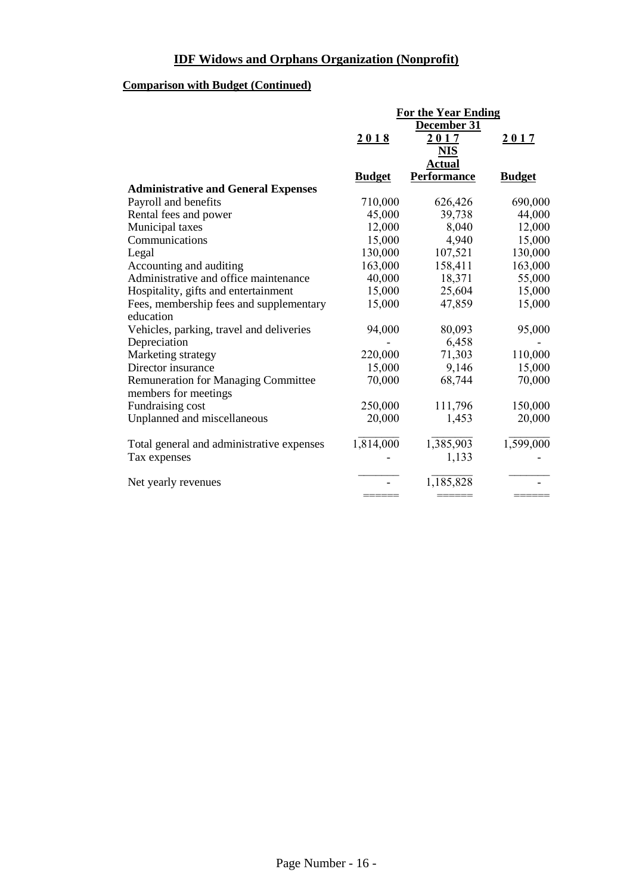# **Comparison with Budget (Continued)**

|                                            | <b>For the Year Ending</b> |                    |               |
|--------------------------------------------|----------------------------|--------------------|---------------|
|                                            | December 31                |                    |               |
|                                            | 2018                       | 2017               | 2017          |
|                                            |                            | <b>NIS</b>         |               |
|                                            |                            | <b>Actual</b>      |               |
|                                            | <b>Budget</b>              | <b>Performance</b> | <b>Budget</b> |
| <b>Administrative and General Expenses</b> |                            |                    |               |
| Payroll and benefits                       | 710,000                    | 626,426            | 690,000       |
| Rental fees and power                      | 45,000                     | 39,738             | 44,000        |
| Municipal taxes                            | 12,000                     | 8,040              | 12,000        |
| Communications                             | 15,000                     | 4,940              | 15,000        |
| Legal                                      | 130,000                    | 107,521            | 130,000       |
| Accounting and auditing                    | 163,000                    | 158,411            | 163,000       |
| Administrative and office maintenance      | 40,000                     | 18,371             | 55,000        |
| Hospitality, gifts and entertainment       | 15,000                     | 25,604             | 15,000        |
| Fees, membership fees and supplementary    | 15,000                     | 47,859             | 15,000        |
| education                                  |                            |                    |               |
| Vehicles, parking, travel and deliveries   | 94,000                     | 80,093             | 95,000        |
| Depreciation                               |                            | 6,458              |               |
| Marketing strategy                         | 220,000                    | 71,303             | 110,000       |
| Director insurance                         | 15,000                     | 9,146              | 15,000        |
| <b>Remuneration for Managing Committee</b> | 70,000                     | 68,744             | 70,000        |
| members for meetings                       |                            |                    |               |
| Fundraising cost                           | 250,000                    | 111,796            | 150,000       |
| Unplanned and miscellaneous                | 20,000                     | 1,453              | 20,000        |
|                                            |                            |                    |               |
| Total general and administrative expenses  | 1,814,000                  | 1,385,903          | 1,599,000     |
| Tax expenses                               |                            | 1,133              |               |
|                                            |                            |                    |               |
| Net yearly revenues                        |                            | 1,185,828          |               |
|                                            |                            |                    |               |